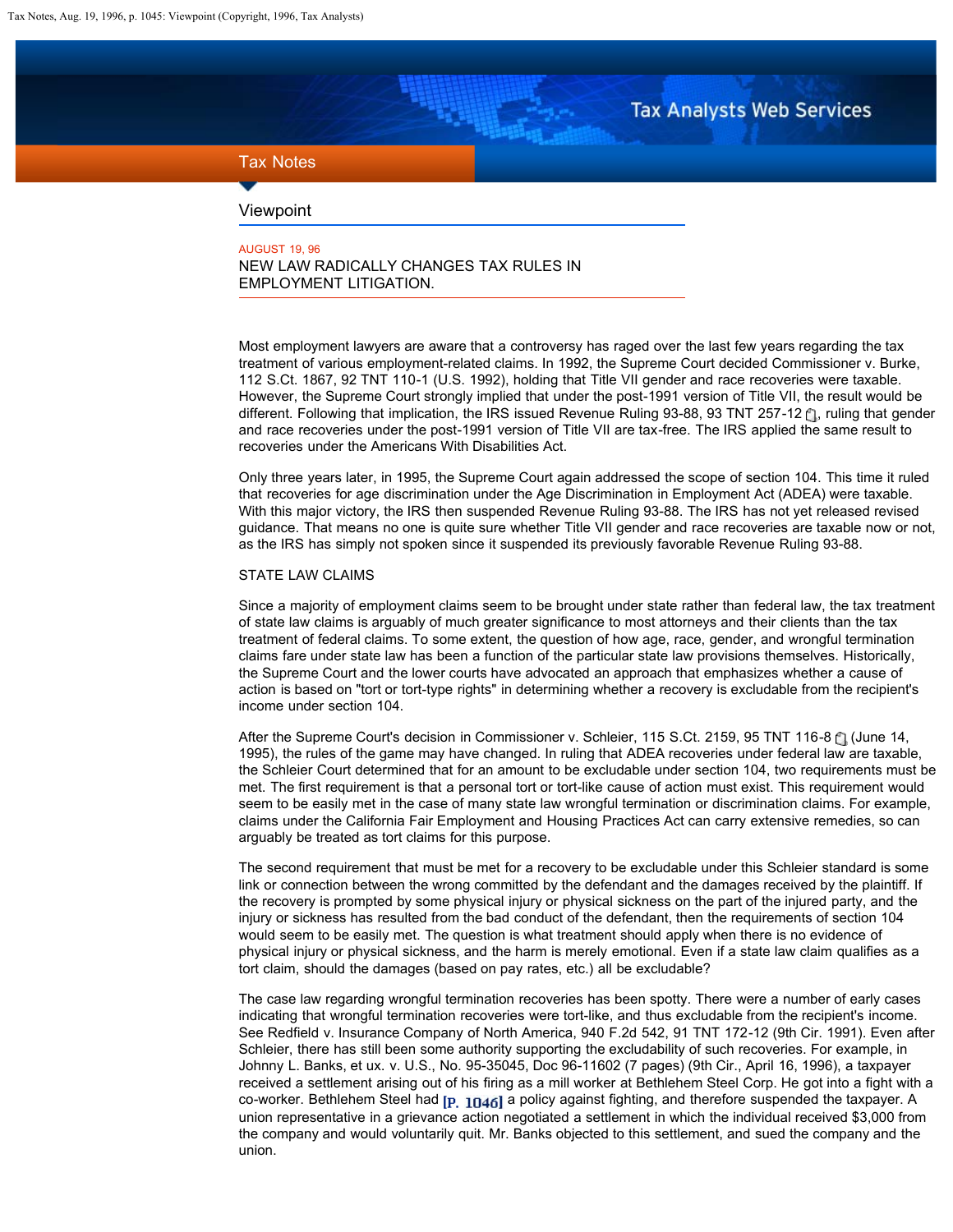**Tax Analysts Web Services** 

# <span id="page-0-0"></span>Tax Notes

# Viewpoint

AUGUST 19, 96 NEW LAW RADICALLY CHANGES TAX RULES IN EMPLOYMENT LITIGATION.

Most employment lawyers are aware that a controversy has raged over the last few years regarding the tax treatment of various employment-related claims. In 1992, the Supreme Court decided Commissioner v. Burke, 112 S.Ct. 1867, 92 TNT 110-1 (U.S. 1992), holding that Title VII gender and race recoveries were taxable. However, the Supreme Court strongly implied that under the post-1991 version of Title VII, the result would be different.Following that implication, the IRS issued Revenue Ruling 93-88, 93 TNT 257-12  $\uparrow$ 1, ruling that gender and race recoveries under the post-1991 version of Title VII are tax-free. The IRS applied the same result to recoveries under the Americans With Disabilities Act.

Only three years later, in 1995, the Supreme Court again addressed the scope of section 104. This time it ruled that recoveries for age discrimination under the Age Discrimination in Employment Act (ADEA) were taxable. With this major victory, the IRS then suspended Revenue Ruling 93-88. The IRS has not yet released revised guidance. That means no one is quite sure whether Title VII gender and race recoveries are taxable now or not, as the IRS has simply not spoken since it suspended its previously favorable Revenue Ruling 93-88.

### STATE LAW CLAIMS

Since a majority of employment claims seem to be brought under state rather than federal law, the tax treatment of state law claims is arguably of much greater significance to most attorneys and their clients than the tax treatment of federal claims. To some extent, the question of how age, race, gender, and wrongful termination claims fare under state law has been a function of the particular state law provisions themselves. Historically, the Supreme Court and the lower courts have advocated an approach that emphasizes whether a cause of action is based on "tort or tort-type rights" in determining whether a recovery is excludable from the recipient's income under section 104.

Afterthe Supreme Court's decision in Commissioner v. Schleier, 115 S.Ct. 2159, 95 TNT 116-8 [1] (June 14, 1995), the rules of the game may have changed. In ruling that ADEA recoveries under federal law are taxable, the Schleier Court determined that for an amount to be excludable under section 104, two requirements must be met. The first requirement is that a personal tort or tort-like cause of action must exist. This requirement would seem to be easily met in the case of many state law wrongful termination or discrimination claims. For example, claims under the California Fair Employment and Housing Practices Act can carry extensive remedies, so can arguably be treated as tort claims for this purpose.

The second requirement that must be met for a recovery to be excludable under this Schleier standard is some link or connection between the wrong committed by the defendant and the damages received by the plaintiff. If the recovery is prompted by some physical injury or physical sickness on the part of the injured party, and the injury or sickness has resulted from the bad conduct of the defendant, then the requirements of section 104 would seem to be easily met. The question is what treatment should apply when there is no evidence of physical injury or physical sickness, and the harm is merely emotional. Even if a state law claim qualifies as a tort claim, should the damages (based on pay rates, etc.) all be excludable?

The case law regarding wrongful termination recoveries has been spotty. There were a number of early cases indicating that wrongful termination recoveries were tort-like, and thus excludable from the recipient's income. See Redfield v. Insurance Company of North America, 940 F.2d 542, 91 TNT 172-12 (9th Cir. 1991). Even after Schleier, there has still been some authority supporting the excludability of such recoveries. For example, in Johnny L. Banks, et ux. v. U.S., No. 95-35045, Doc 96-11602 (7 pages) (9th Cir., April 16, 1996), a taxpayer received a settlement arising out of his firing as a mill worker at Bethlehem Steel Corp. He got into a fight with a co-worker. Bethlehem Steel had  $\mathbf{p}_{1146}$  a policy against fighting, and therefore suspended the taxpayer. A union representative in a grievance action negotiated a settlement in which the individual received \$3,000 from the company and would voluntarily quit. Mr. Banks objected to this settlement, and sued the company and the union.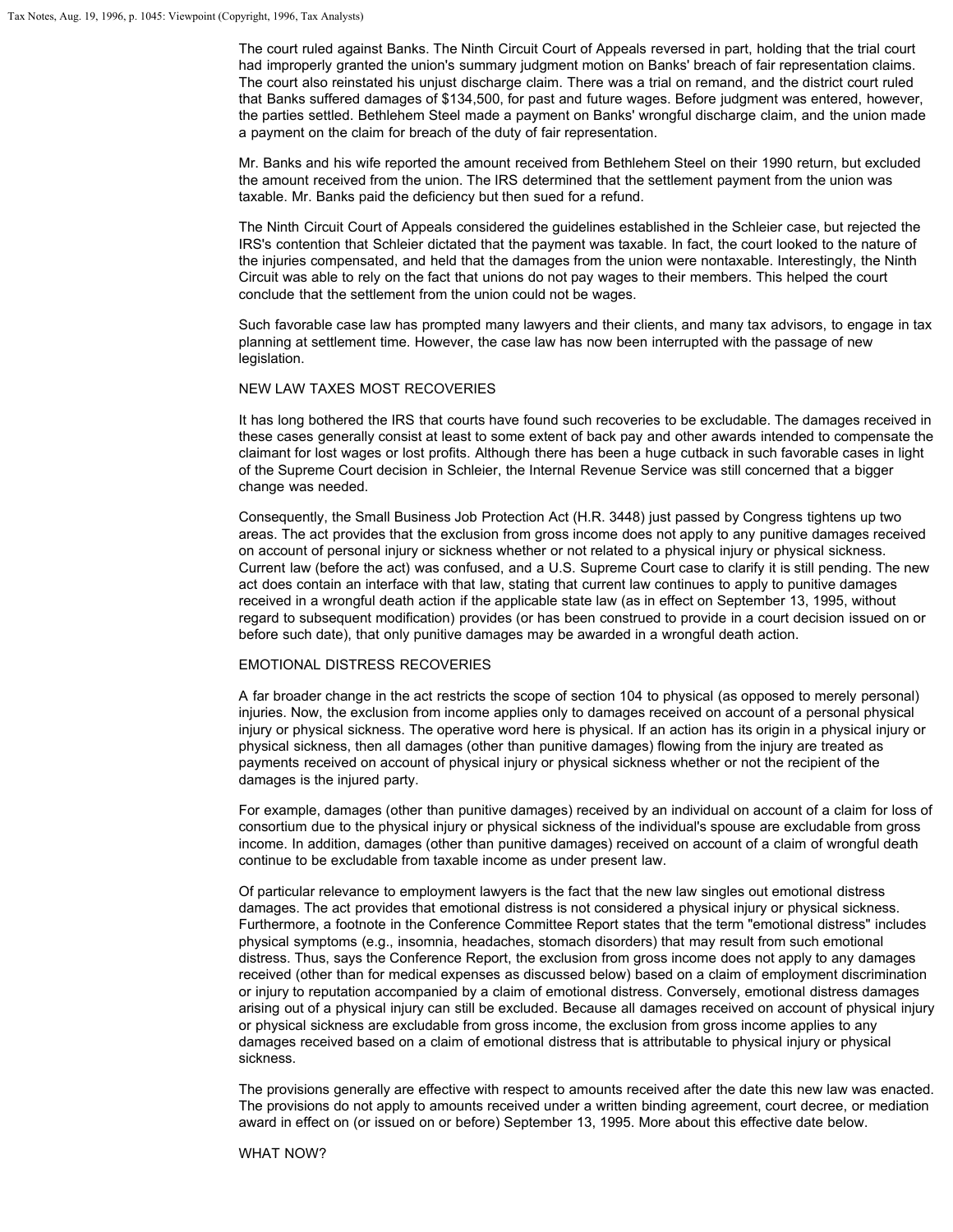The court ruled against Banks. The Ninth Circuit Court of Appeals reversed in part, holding that the trial court had improperly granted the union's summary judgment motion on Banks' breach of fair representation claims. The court also reinstated his unjust discharge claim. There was a trial on remand, and the district court ruled that Banks suffered damages of \$134,500, for past and future wages. Before judgment was entered, however, the parties settled. Bethlehem Steel made a payment on Banks' wrongful discharge claim, and the union made a payment on the claim for breach of the duty of fair representation.

Mr. Banks and his wife reported the amount received from Bethlehem Steel on their 1990 return, but excluded the amount received from the union. The IRS determined that the settlement payment from the union was taxable. Mr. Banks paid the deficiency but then sued for a refund.

The Ninth Circuit Court of Appeals considered the guidelines established in the Schleier case, but rejected the IRS's contention that Schleier dictated that the payment was taxable. In fact, the court looked to the nature of the injuries compensated, and held that the damages from the union were nontaxable. Interestingly, the Ninth Circuit was able to rely on the fact that unions do not pay wages to their members. This helped the court conclude that the settlement from the union could not be wages.

Such favorable case law has prompted many lawyers and their clients, and many tax advisors, to engage in tax planning at settlement time. However, the case law has now been interrupted with the passage of new legislation.

# NEW LAW TAXES MOST RECOVERIES

It has long bothered the IRS that courts have found such recoveries to be excludable. The damages received in these cases generally consist at least to some extent of back pay and other awards intended to compensate the claimant for lost wages or lost profits. Although there has been a huge cutback in such favorable cases in light of the Supreme Court decision in Schleier, the Internal Revenue Service was still concerned that a bigger change was needed.

Consequently, the Small Business Job Protection Act (H.R. 3448) just passed by Congress tightens up two areas. The act provides that the exclusion from gross income does not apply to any punitive damages received on account of personal injury or sickness whether or not related to a physical injury or physical sickness. Current law (before the act) was confused, and a U.S. Supreme Court case to clarify it is still pending. The new act does contain an interface with that law, stating that current law continues to apply to punitive damages received in a wrongful death action if the applicable state law (as in effect on September 13, 1995, without regard to subsequent modification) provides (or has been construed to provide in a court decision issued on or before such date), that only punitive damages may be awarded in a wrongful death action.

#### EMOTIONAL DISTRESS RECOVERIES

A far broader change in the act restricts the scope of section 104 to physical (as opposed to merely personal) injuries. Now, the exclusion from income applies only to damages received on account of a personal physical injury or physical sickness. The operative word here is physical. If an action has its origin in a physical injury or physical sickness, then all damages (other than punitive damages) flowing from the injury are treated as payments received on account of physical injury or physical sickness whether or not the recipient of the damages is the injured party.

For example, damages (other than punitive damages) received by an individual on account of a claim for loss of consortium due to the physical injury or physical sickness of the individual's spouse are excludable from gross income. In addition, damages (other than punitive damages) received on account of a claim of wrongful death continue to be excludable from taxable income as under present law.

Of particular relevance to employment lawyers is the fact that the new law singles out emotional distress damages. The act provides that emotional distress is not considered a physical injury or physical sickness. Furthermore, a footnote in the Conference Committee Report states that the term "emotional distress" includes physical symptoms (e.g., insomnia, headaches, stomach disorders) that may result from such emotional distress. Thus, says the Conference Report, the exclusion from gross income does not apply to any damages received (other than for medical expenses as discussed below) based on a claim of employment discrimination or injury to reputation accompanied by a claim of emotional distress. Conversely, emotional distress damages arising out of a physical injury can still be excluded. Because all damages received on account of physical injury or physical sickness are excludable from gross income, the exclusion from gross income applies to any damages received based on a claim of emotional distress that is attributable to physical injury or physical sickness.

The provisions generally are effective with respect to amounts received after the date this new law was enacted. The provisions do not apply to amounts received under a written binding agreement, court decree, or mediation award in effect on (or issued on or before) September 13, 1995. More about this effective date below.

WHAT NOW?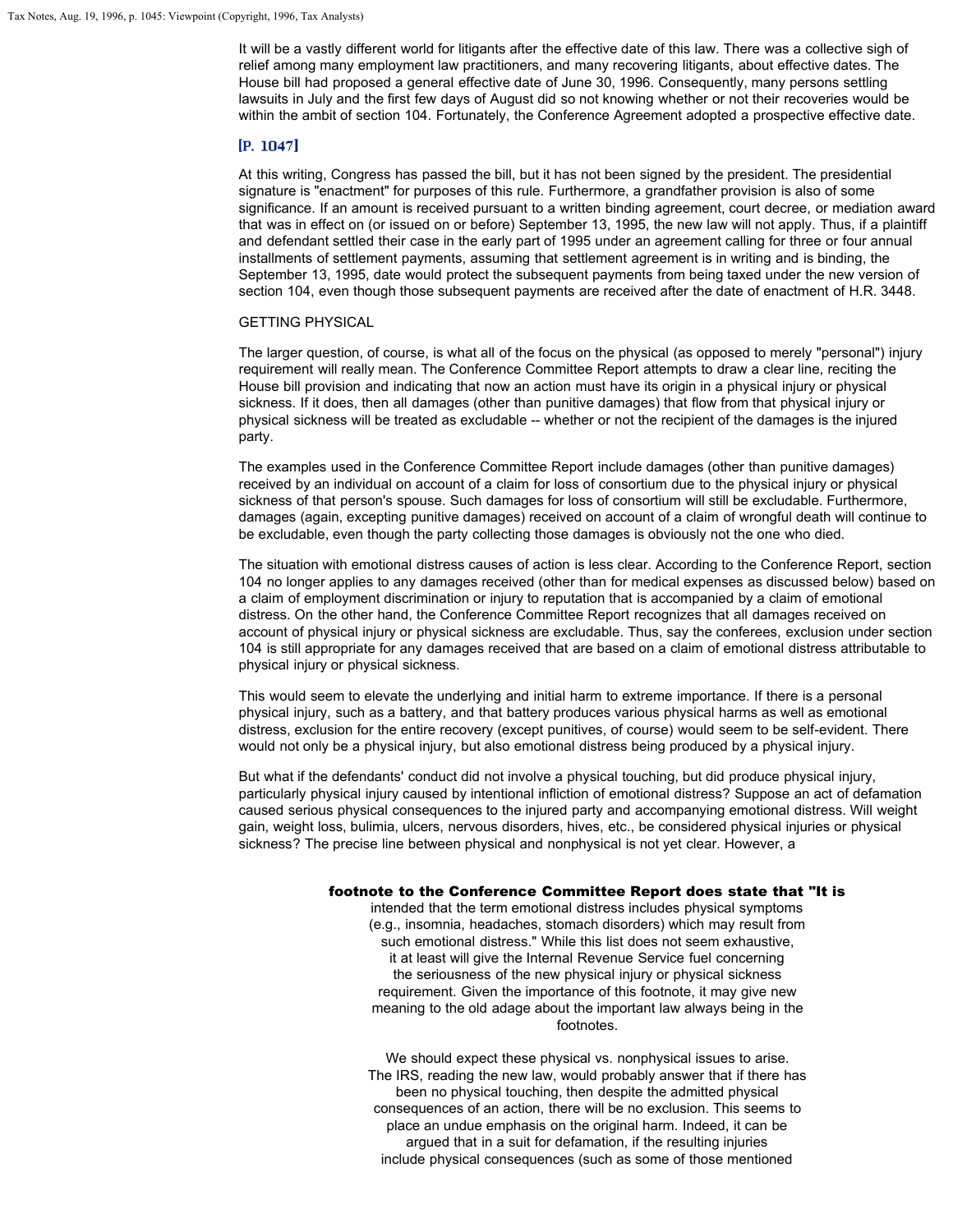It will be a vastly different world for litigants after the effective date of this law. There was a collective sigh of relief among many employment law practitioners, and many recovering litigants, about effective dates. The House bill had proposed a general effective date of June 30, 1996. Consequently, many persons settling lawsuits in July and the first few days of August did so not knowing whether or not their recoveries would be within the ambit of section 104. Fortunately, the Conference Agreement adopted a prospective effective date.

# $[P. 1047]$

At this writing, Congress has passed the bill, but it has not been signed by the president. The presidential signature is "enactment" for purposes of this rule. Furthermore, a grandfather provision is also of some significance. If an amount is received pursuant to a written binding agreement, court decree, or mediation award that was in effect on (or issued on or before) September 13, 1995, the new law will not apply. Thus, if a plaintiff and defendant settled their case in the early part of 1995 under an agreement calling for three or four annual installments of settlement payments, assuming that settlement agreement is in writing and is binding, the September 13, 1995, date would protect the subsequent payments from being taxed under the new version of section 104, even though those subsequent payments are received after the date of enactment of H.R. 3448.

#### GETTING PHYSICAL

The larger question, of course, is what all of the focus on the physical (as opposed to merely "personal") injury requirement will really mean. The Conference Committee Report attempts to draw a clear line, reciting the House bill provision and indicating that now an action must have its origin in a physical injury or physical sickness. If it does, then all damages (other than punitive damages) that flow from that physical injury or physical sickness will be treated as excludable -- whether or not the recipient of the damages is the injured party.

The examples used in the Conference Committee Report include damages (other than punitive damages) received by an individual on account of a claim for loss of consortium due to the physical injury or physical sickness of that person's spouse. Such damages for loss of consortium will still be excludable. Furthermore, damages (again, excepting punitive damages) received on account of a claim of wrongful death will continue to be excludable, even though the party collecting those damages is obviously not the one who died.

The situation with emotional distress causes of action is less clear. According to the Conference Report, section 104 no longer applies to any damages received (other than for medical expenses as discussed below) based on a claim of employment discrimination or injury to reputation that is accompanied by a claim of emotional distress. On the other hand, the Conference Committee Report recognizes that all damages received on account of physical injury or physical sickness are excludable. Thus, say the conferees, exclusion under section 104 is still appropriate for any damages received that are based on a claim of emotional distress attributable to physical injury or physical sickness.

This would seem to elevate the underlying and initial harm to extreme importance. If there is a personal physical injury, such as a battery, and that battery produces various physical harms as well as emotional distress, exclusion for the entire recovery (except punitives, of course) would seem to be self-evident. There would not only be a physical injury, but also emotional distress being produced by a physical injury.

But what if the defendants' conduct did not involve a physical touching, but did produce physical injury, particularly physical injury caused by intentional infliction of emotional distress? Suppose an act of defamation caused serious physical consequences to the injured party and accompanying emotional distress. Will weight gain, weight loss, bulimia, ulcers, nervous disorders, hives, etc., be considered physical injuries or physical sickness? The precise line between physical and nonphysical is not yet clear. However, a

# footnote to the Conference Committee Report does state that "It is

intended that the term emotional distress includes physical symptoms (e.g., insomnia, headaches, stomach disorders) which may result from such emotional distress." While this list does not seem exhaustive, it at least will give the Internal Revenue Service fuel concerning the seriousness of the new physical injury or physical sickness requirement. Given the importance of this footnote, it may give new meaning to the old adage about the important law always being in the footnotes.

We should expect these physical vs. nonphysical issues to arise. The IRS, reading the new law, would probably answer that if there has been no physical touching, then despite the admitted physical consequences of an action, there will be no exclusion. This seems to place an undue emphasis on the original harm. Indeed, it can be argued that in a suit for defamation, if the resulting injuries include physical consequences (such as some of those mentioned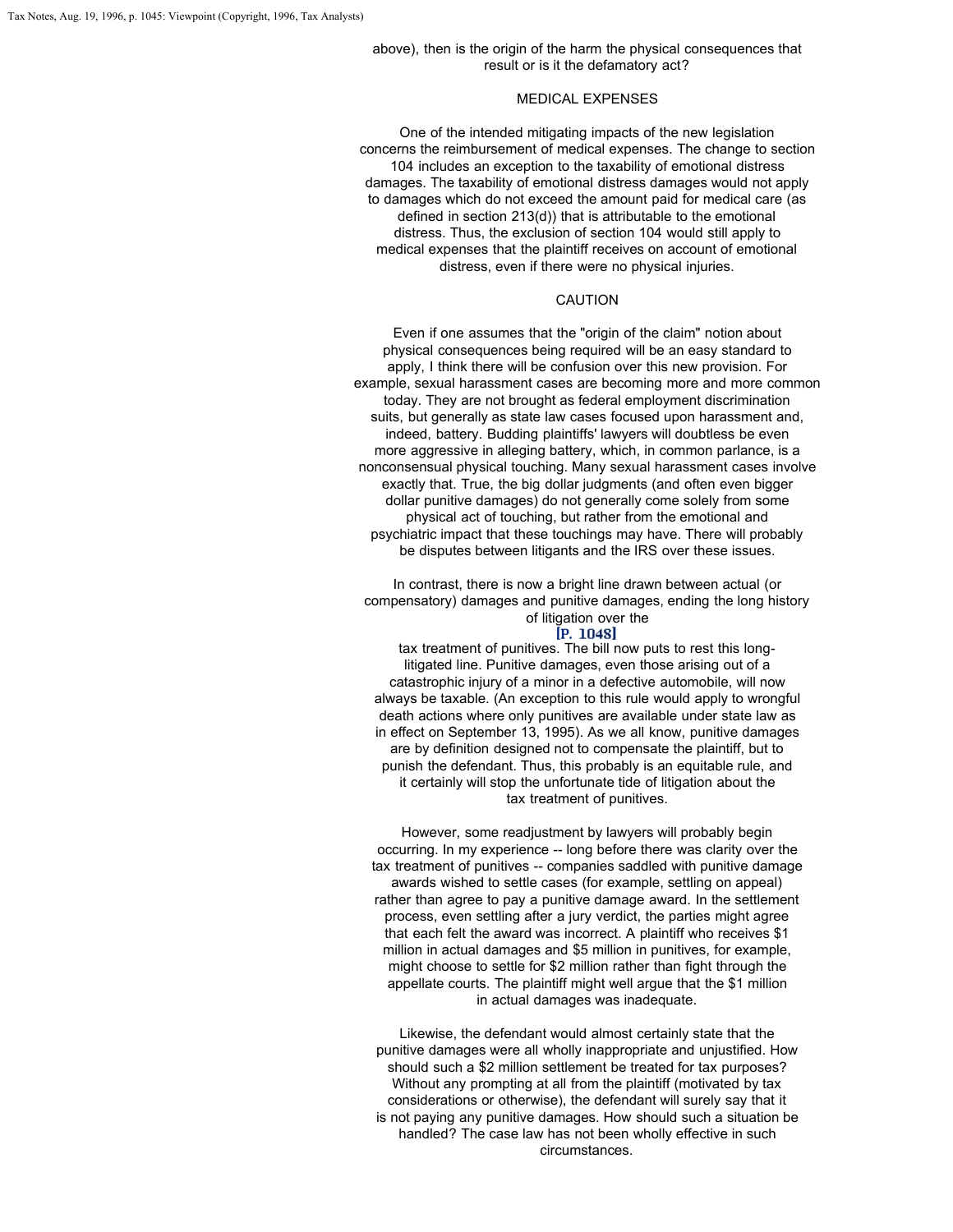# MEDICAL EXPENSES

One of the intended mitigating impacts of the new legislation concerns the reimbursement of medical expenses. The change to section 104 includes an exception to the taxability of emotional distress damages. The taxability of emotional distress damages would not apply to damages which do not exceed the amount paid for medical care (as defined in section 213(d)) that is attributable to the emotional distress. Thus, the exclusion of section 104 would still apply to medical expenses that the plaintiff receives on account of emotional distress, even if there were no physical injuries.

#### CAUTION

Even if one assumes that the "origin of the claim" notion about physical consequences being required will be an easy standard to apply, I think there will be confusion over this new provision. For example, sexual harassment cases are becoming more and more common today. They are not brought as federal employment discrimination suits, but generally as state law cases focused upon harassment and, indeed, battery. Budding plaintiffs' lawyers will doubtless be even more aggressive in alleging battery, which, in common parlance, is a nonconsensual physical touching. Many sexual harassment cases involve exactly that. True, the big dollar judgments (and often even bigger dollar punitive damages) do not generally come solely from some physical act of touching, but rather from the emotional and psychiatric impact that these touchings may have. There will probably be disputes between litigants and the IRS over these issues.

In contrast, there is now a bright line drawn between actual (or compensatory) damages and punitive damages, ending the long history of litigation over the<br>IP. 1048]

tax treatment of punitives. The bill now puts to rest this longlitigated line. Punitive damages, even those arising out of a catastrophic injury of a minor in a defective automobile, will now always be taxable. (An exception to this rule would apply to wrongful death actions where only punitives are available under state law as in effect on September 13, 1995). As we all know, punitive damages are by definition designed not to compensate the plaintiff, but to punish the defendant. Thus, this probably is an equitable rule, and it certainly will stop the unfortunate tide of litigation about the tax treatment of punitives.

However, some readjustment by lawyers will probably begin occurring. In my experience -- long before there was clarity over the tax treatment of punitives -- companies saddled with punitive damage awards wished to settle cases (for example, settling on appeal) rather than agree to pay a punitive damage award. In the settlement process, even settling after a jury verdict, the parties might agree that each felt the award was incorrect. A plaintiff who receives \$1 million in actual damages and \$5 million in punitives, for example, might choose to settle for \$2 million rather than fight through the appellate courts. The plaintiff might well argue that the \$1 million in actual damages was inadequate.

Likewise, the defendant would almost certainly state that the punitive damages were all wholly inappropriate and unjustified. How should such a \$2 million settlement be treated for tax purposes? Without any prompting at all from the plaintiff (motivated by tax considerations or otherwise), the defendant will surely say that it is not paying any punitive damages. How should such a situation be handled? The case law has not been wholly effective in such circumstances.